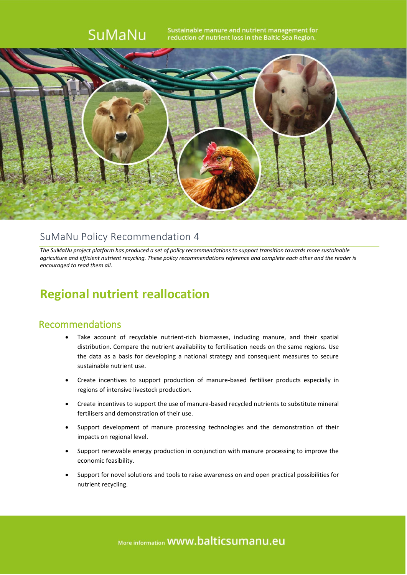

### SuMaNu Policy Recommendation 4

*The SuMaNu project platform has produced a set of policy recommendations to support transition towards more sustainable agriculture and efficient nutrient recycling. These policy recommendations reference and complete each other and the reader is encouraged to read them all.*

### **Regional nutrient reallocation**

#### Recommendations

- Take account of recyclable nutrient-rich biomasses, including manure, and their spatial distribution. Compare the nutrient availability to fertilisation needs on the same regions. Use the data as a basis for developing a national strategy and consequent measures to secure sustainable nutrient use.
- Create incentives to support production of manure-based fertiliser products especially in regions of intensive livestock production.
- Create incentives to support the use of manure-based recycled nutrients to substitute mineral fertilisers and demonstration of their use.
- Support development of manure processing technologies and the demonstration of their impacts on regional level.
- Support renewable energy production in conjunction with manure processing to improve the economic feasibility.
- Support for novel solutions and tools to raise awareness on and open practical possibilities for nutrient recycling.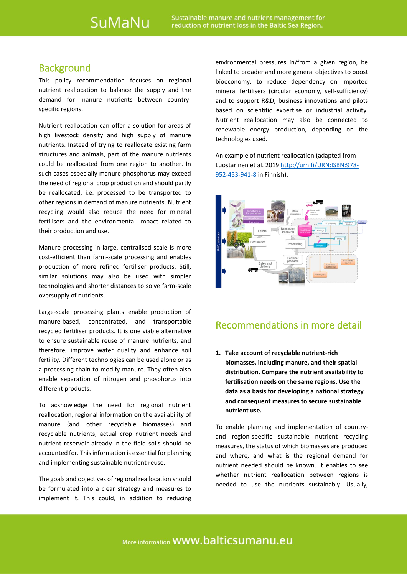#### **Background**

This policy recommendation focuses on regional nutrient reallocation to balance the supply and the demand for manure nutrients between countryspecific regions.

Nutrient reallocation can offer a solution for areas of high livestock density and high supply of manure nutrients. Instead of trying to reallocate existing farm structures and animals, part of the manure nutrients could be reallocated from one region to another. In such cases especially manure phosphorus may exceed the need of regional crop production and should partly be reallocated, i.e. processed to be transported to other regions in demand of manure nutrients. Nutrient recycling would also reduce the need for mineral fertilisers and the environmental impact related to their production and use.

Manure processing in large, centralised scale is more cost-efficient than farm-scale processing and enables production of more refined fertiliser products. Still, similar solutions may also be used with simpler technologies and shorter distances to solve farm-scale oversupply of nutrients.

Large-scale processing plants enable production of manure-based, concentrated, and transportable recycled fertiliser products. It is one viable alternative to ensure sustainable reuse of manure nutrients, and therefore, improve water quality and enhance soil fertility. Different technologies can be used alone or as a processing chain to modify manure. They often also enable separation of nitrogen and phosphorus into different products.

To acknowledge the need for regional nutrient reallocation, regional information on the availability of manure (and other recyclable biomasses) and recyclable nutrients, actual crop nutrient needs and nutrient reservoir already in the field soils should be accounted for. This information is essential for planning and implementing sustainable nutrient reuse.

The goals and objectives of regional reallocation should be formulated into a clear strategy and measures to implement it. This could, in addition to reducing environmental pressures in/from a given region, be linked to broader and more general objectives to boost bioeconomy, to reduce dependency on imported mineral fertilisers (circular economy, self-sufficiency) and to support R&D, business innovations and pilots based on scientific expertise or industrial activity. Nutrient reallocation may also be connected to renewable energy production, depending on the technologies used.

An example of nutrient reallocation (adapted from Luostarinen et al. 201[9 http://urn.fi/URN:ISBN:978-](http://urn.fi/URN:ISBN:978-952-453-941-8) [952-453-941-8](http://urn.fi/URN:ISBN:978-952-453-941-8) in Finnish).



#### Recommendations in more detail

**1. Take account of recyclable nutrient-rich biomasses, including manure, and their spatial distribution. Compare the nutrient availability to fertilisation needs on the same regions. Use the data as a basis for developing a national strategy and consequent measures to secure sustainable nutrient use.**

To enable planning and implementation of countryand region-specific sustainable nutrient recycling measures, the status of which biomasses are produced and where, and what is the regional demand for nutrient needed should be known. It enables to see whether nutrient reallocation between regions is needed to use the nutrients sustainably. Usually,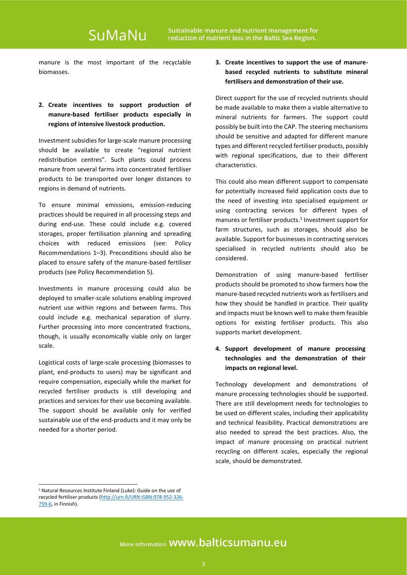## SuMaNu

manure is the most important of the recyclable biomasses.

#### **2. Create incentives to support production of manure-based fertiliser products especially in regions of intensive livestock production.**

Investment subsidies for large-scale manure processing should be available to create "regional nutrient redistribution centres". Such plants could process manure from several farms into concentrated fertiliser products to be transported over longer distances to regions in demand of nutrients.

To ensure minimal emissions, emission-reducing practices should be required in all processing steps and during end-use. These could include e.g. covered storages, proper fertilisation planning and spreading choices with reduced emissions (see: Policy Recommendations 1–3). Preconditions should also be placed to ensure safety of the manure-based fertiliser products (see Policy Recommendation 5).

Investments in manure processing could also be deployed to smaller-scale solutions enabling improved nutrient use within regions and between farms. This could include e.g. mechanical separation of slurry. Further processing into more concentrated fractions, though, is usually economically viable only on larger scale.

Logistical costs of large-scale processing (biomasses to plant, end-products to users) may be significant and require compensation, especially while the market for recycled fertiliser products is still developing and practices and services for their use becoming available. The support should be available only for verified sustainable use of the end-products and it may only be needed for a shorter period.

**3. Create incentives to support the use of manurebased recycled nutrients to substitute mineral fertilisers and demonstration of their use.**

Direct support for the use of recycled nutrients should be made available to make them a viable alternative to mineral nutrients for farmers. The support could possibly be built into the CAP. The steering mechanisms should be sensitive and adapted for different manure types and different recycled fertiliser products, possibly with regional specifications, due to their different characteristics.

This could also mean different support to compensate for potentially increased field application costs due to the need of investing into specialised equipment or using contracting services for different types of manures or fertiliser products.<sup>1</sup> Investment support for farm structures, such as storages, should also be available. Support for businesses in contracting services specialised in recycled nutrients should also be considered.

Demonstration of using manure-based fertiliser products should be promoted to show farmers how the manure-based recycled nutrients work as fertilisers and how they should be handled in practice. Their quality and impacts must be known well to make them feasible options for existing fertiliser products. This also supports market development.

**4. Support development of manure processing technologies and the demonstration of their impacts on regional level.**

Technology development and demonstrations of manure processing technologies should be supported. There are still development needs for technologies to be used on different scales, including their applicability and technical feasibility. Practical demonstrations are also needed to spread the best practices. Also, the impact of manure processing on practical nutrient recycling on different scales, especially the regional scale, should be demonstrated.

<sup>1</sup> Natural Resources Institute Finland (Luke): Guide on the use of recycled fertiliser products [\(http://urn.fi/URN:ISBN:978-952-326-](http://urn.fi/URN:ISBN:978-952-326-759-6) [759-6,](http://urn.fi/URN:ISBN:978-952-326-759-6) in Finnish).